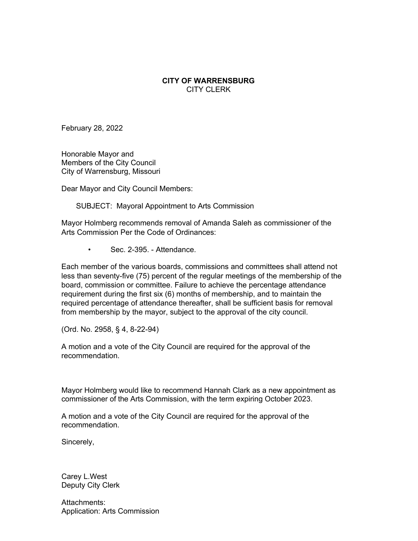## **CITY OF WARRENSBURG** CITY CLERK

February 28, 2022

Honorable Mayor and Members of the City Council City of Warrensburg, Missouri

Dear Mayor and City Council Members:

SUBJECT: Mayoral Appointment to Arts Commission

Mayor Holmberg recommends removal of Amanda Saleh as commissioner of the Arts Commission Per the Code of Ordinances:

• Sec. 2-395. - Attendance.

Each member of the various boards, commissions and committees shall attend not less than seventy-five (75) percent of the regular meetings of the membership of the board, commission or committee. Failure to achieve the percentage attendance requirement during the first six (6) months of membership, and to maintain the required percentage of attendance thereafter, shall be sufficient basis for removal from membership by the mayor, subject to the approval of the city council.

(Ord. No. 2958, § 4, 8-22-94)

A motion and a vote of the City Council are required for the approval of the recommendation.

Mayor Holmberg would like to recommend Hannah Clark as a new appointment as commissioner of the Arts Commission, with the term expiring October 2023.

A motion and a vote of the City Council are required for the approval of the recommendation.

Sincerely,

Carey L.West Deputy City Clerk

Attachments: Application: Arts Commission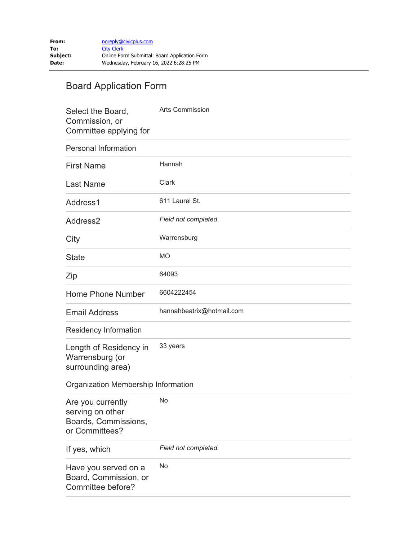## Board Application Form

| Select the Board,<br>Commission, or<br>Committee applying for                   | <b>Arts Commission</b>    |
|---------------------------------------------------------------------------------|---------------------------|
| <b>Personal Information</b>                                                     |                           |
| <b>First Name</b>                                                               | Hannah                    |
| <b>Last Name</b>                                                                | Clark                     |
| Address1                                                                        | 611 Laurel St.            |
| Address2                                                                        | Field not completed.      |
| City                                                                            | Warrensburg               |
| <b>State</b>                                                                    | <b>MO</b>                 |
| Zip                                                                             | 64093                     |
| Home Phone Number                                                               | 6604222454                |
| <b>Email Address</b>                                                            | hannahbeatrix@hotmail.com |
| Residency Information                                                           |                           |
| Length of Residency in<br>Warrensburg (or<br>surrounding area)                  | 33 years                  |
| Organization Membership Information                                             |                           |
| Are you currently<br>serving on other<br>Boards, Commissions,<br>or Committees? | No                        |
| If yes, which                                                                   | Field not completed.      |
| Have you served on a<br>Board, Commission, or<br>Committee before?              | No                        |